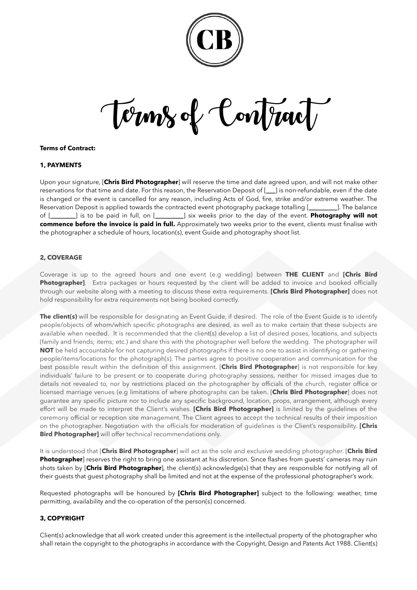

Terms of Contract

## **Terms of Contract:**

## **1, PAYMENTS**

Upon your signature, [**Chris Bird Photographer**] will reserve the time and date agreed upon, and will not make other reservations for that time and date. For this reason, the Reservation Deposit of [**\_\_\_**] is non-refundable, even if the date is changed or the event is cancelled for any reason, including Acts of God, fire, strike and/or extreme weather. The Reservation Deposit is applied towards the contracted event photography package totalling [**\_\_\_\_\_\_\_\_\_**]. The balance of [**\_\_\_\_\_\_\_\_**] is to be paid in full, on [**\_\_\_\_\_\_\_\_\_**] six weeks prior to the day of the event. **Photography will not commence before the invoice is paid in full.** Approximately two weeks prior to the event, clients must finalise with the photographer a schedule of hours, location(s), event Guide and photography shoot list.

### **2, COVERAGE**

Coverage is up to the agreed hours and one event (e.g wedding) between **THE CLIENT** and **[Chris Bird Photographer]**. Extra packages or hours requested by the client will be added to invoice and booked officially through our website along with a meeting to discuss these extra requirements. **[Chris Bird Photographer]** does not hold responsibility for extra requirements not being booked correctly.

**The client(s)** will be responsible for designating an Event Guide, if desired. The role of the Event Guide is to identify people/objects of whom/which specific photographs are desired, as well as to make certain that these subjects are available when needed. It is recommended that the client(s) develop a list of desired poses, locations, and subjects (family and friends; items; etc.) and share this with the photographer well before the wedding. The photographer will **NOT** be held accountable for not capturing desired photographs if there is no one to assist in identifying or gathering people/items/locations for the photograph(s). The parties agree to positive cooperation and communication for the best possible result within the definition of this assignment. [**Chris Bird Photographer**] is not responsible for key individuals' failure to be present or to cooperate during photography sessions, neither for missed images due to details not revealed to, nor by restrictions placed on the photographer by officials of the church, register office or licensed marriage venues (e.g limitations of where photographs can be taken. [**Chris Bird Photographer**] does not guarantee any specific picture nor to include any specific background, location, props, arrangement, although every effort will be made to interpret the Client's wishes. **[Chris Bird Photographer]** is limited by the guidelines of the ceremony official or reception site management. The Client agrees to accept the technical results of their imposition on the photographer. Negotiation with the officials for moderation of guidelines is the Client's responsibility. **[Chris Bird Photographer]** will offer technical recommendations only.

It is understood that [**Chris Bird Photographer**] will act as the sole and exclusive wedding photographer. [**Chris Bird Photographer**] reserves the right to bring one assistant at his discretion. Since flashes from guests' cameras may ruin shots taken by [**Chris Bird Photographer**], the client(s) acknowledge(s) that they are responsible for notifying all of their guests that guest photography shall be limited and not at the expense of the professional photographer's work.

Requested photographs will be honoured by **[Chris Bird Photographer]** subject to the following: weather, time permitting, availability and the co-operation of the person(s) concerned.

# **3, COPYRIGHT**

Client(s) acknowledge that all work created under this agreement is the intellectual property of the photographer who shall retain the copyright to the photographs in accordance with the Copyright, Design and Patents Act 1988. Client(s)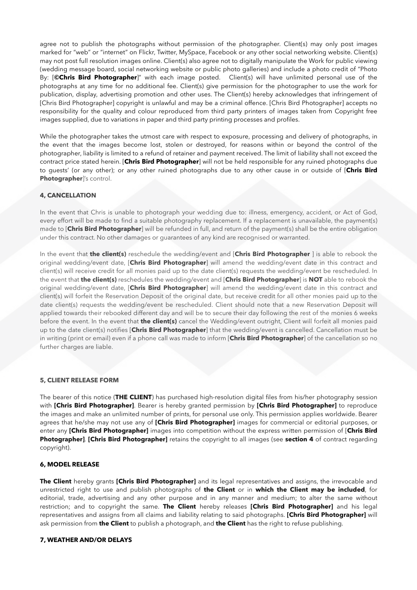agree not to publish the photographs without permission of the photographer. Client(s) may only post images marked for "web" or "internet" on Flickr, Twitter, MySpace, Facebook or any other social networking website. Client(s) may not post full resolution images online. Client(s) also agree not to digitally manipulate the Work for public viewing (wedding message board, social networking website or public photo galleries) and include a photo credit of "Photo By: [**©Chris Bird Photographer**]" with each image posted. Client(s) will have unlimited personal use of the photographs at any time for no additional fee. Client(s) give permission for the photographer to use the work for publication, display, advertising promotion and other uses. The Client(s) hereby acknowledges that infringement of [Chris Bird Photographer] copyright is unlawful and may be a criminal offence. [Chris Bird Photographer] accepts no responsibility for the quality and colour reproduced from third party printers of images taken from Copyright free images supplied, due to variations in paper and third party printing processes and profiles.

While the photographer takes the utmost care with respect to exposure, processing and delivery of photographs, in the event that the images become lost, stolen or destroyed, for reasons within or beyond the control of the photographer, liability is limited to a refund of retainer and payment received. The limit of liability shall not exceed the contract price stated herein. [**Chris Bird Photographer**] will not be held responsible for any ruined photographs due to guests' (or any other); or any other ruined photographs due to any other cause in or outside of [**Chris Bird Photographer**]'s control.

## **4, CANCELLATION**

In the event that Chris is unable to photograph your wedding due to: illness, emergency, accident, or Act of God, every effort will be made to find a suitable photography replacement. If a replacement is unavailable, the payment(s) made to [**Chris Bird Photographer**] will be refunded in full, and return of the payment(s) shall be the entire obligation under this contract. No other damages or guarantees of any kind are recognised or warranted.

In the event that **the client(s)** reschedule the wedding/event and [**Chris Bird Photographer** ] is able to rebook the original wedding/event date, [**Chris Bird Photographer**] will amend the wedding/event date in this contract and client(s) will receive credit for all monies paid up to the date client(s) requests the wedding/event be rescheduled. In the event that **the client(s)** reschedules the wedding/event and [**Chris Bird Photographer**] is **NOT** able to rebook the original wedding/event date, [**Chris Bird Photographer**] will amend the wedding/event date in this contract and client(s) will forfeit the Reservation Deposit of the original date, but receive credit for all other monies paid up to the date client(s) requests the wedding/event be rescheduled. Client should note that a new Reservation Deposit will applied towards their rebooked different day and will be to secure their day following the rest of the monies 6 weeks before the event. In the event that **the client(s)** cancel the Wedding/event outright, Client will forfeit all monies paid up to the date client(s) notifies [**Chris Bird Photographer**] that the wedding/event is cancelled. Cancellation must be in writing (print or email) even if a phone call was made to inform [**Chris Bird Photographer**] of the cancellation so no further charges are liable.

## **5, CLIENT RELEASE FORM**

The bearer of this notice (**THE CLIENT**) has purchased high-resolution digital files from his/her photography session with **[Chris Bird Photographer]**. Bearer is hereby granted permission by **[Chris Bird Photographer]** to reproduce the images and make an unlimited number of prints, for personal use only. This permission applies worldwide. Bearer agrees that he/she may not use any of **[Chris Bird Photographer]** images for commercial or editorial purposes, or enter any **[Chris Bird Photographer]** images into competition without the express written permission of [**Chris Bird Photographer]**. **[Chris Bird Photographer]** retains the copyright to all images (see **section 4** of contract regarding copyright).

## **6, MODEL RELEASE**

**The Client** hereby grants **[Chris Bird Photographer]** and its legal representatives and assigns, the irrevocable and unrestricted right to use and publish photographs of **the Client** or in **which the Client may be included**, for editorial, trade, advertising and any other purpose and in any manner and medium; to alter the same without restriction; and to copyright the same. **The Client** hereby releases **[Chris Bird Photographer]** and his legal representatives and assigns from all claims and liability relating to said photographs. **[Chris Bird Photographer]** will ask permission from **the Client** to publish a photograph, and **the Client** has the right to refuse publishing.

## **7, WEATHER AND/OR DELAYS**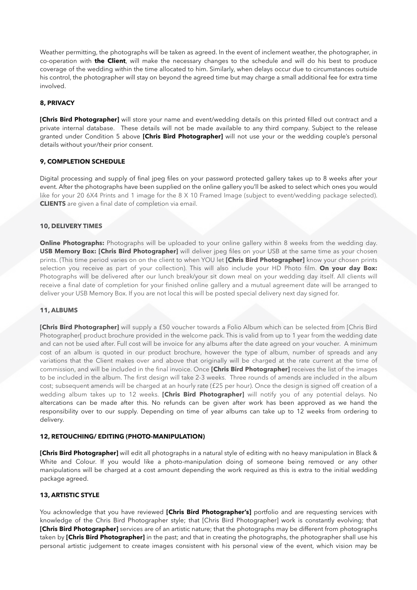Weather permitting, the photographs will be taken as agreed. In the event of inclement weather, the photographer, in co-operation with **the Client**, will make the necessary changes to the schedule and will do his best to produce coverage of the wedding within the time allocated to him. Similarly, when delays occur due to circumstances outside his control, the photographer will stay on beyond the agreed time but may charge a small additional fee for extra time involved.

# **8, PRIVACY**

**[Chris Bird Photographer]** will store your name and event/wedding details on this printed filled out contract and a private internal database. These details will not be made available to any third company. Subject to the release granted under Condition 5 above **[Chris Bird Photographer]** will not use your or the wedding couple's personal details without your/their prior consent.

## **9, COMPLETION SCHEDULE**

Digital processing and supply of final jpeg files on your password protected gallery takes up to 8 weeks after your event. After the photographs have been supplied on the online gallery you'll be asked to select which ones you would like for your 20 6X4 Prints and 1 image for the 8 X 10 Framed Image (subject to event/wedding package selected). **CLIENTS** are given a final date of completion via email.

### **10, DELIVERY TIMES**

**Online Photographs:** Photographs will be uploaded to your online gallery within 8 weeks from the wedding day. **USB Memory Box: [Chris Bird Photographer]** will deliver jpeg files on your USB at the same time as your chosen prints. (This time period varies on on the client to when YOU let **[Chris Bird Photographer]** know your chosen prints selection you receive as part of your collection). This will also include your HD Photo film. **On your day Box:** Photographs will be delivered after our lunch break/your sit down meal on your wedding day itself. All clients will receive a final date of completion for your finished online gallery and a mutual agreement date will be arranged to deliver your USB Memory Box. If you are not local this will be posted special delivery next day signed for.

#### **11, ALBUMS**

**[Chris Bird Photographer]** will supply a £50 voucher towards a Folio Album which can be selected from [Chris Bird Photographer[ product brochure provided in the welcome pack. This is valid from up to 1 year from the wedding date and can not be used after. Full cost will be invoice for any albums after the date agreed on your voucher. A minimum cost of an album is quoted in our product brochure, however the type of album, number of spreads and any variations that the Client makes over and above that originally will be charged at the rate current at the time of commission, and will be included in the final invoice. Once **[Chris Bird Photographer]** receives the list of the images to be included in the album. The first design will take 2-3 weeks. Three rounds of amends are included in the album cost; subsequent amends will be charged at an hourly rate (£25 per hour). Once the design is signed off creation of a wedding album takes up to 12 weeks. **[Chris Bird Photographer]** will notify you of any potential delays. No altercations can be made after this. No refunds can be given after work has been approved as we hand the responsibility over to our supply. Depending on time of year albums can take up to 12 weeks from ordering to delivery.

#### **12, RETOUCHING/ EDITING (PHOTO-MANIPULATION)**

**[Chris Bird Photographer]** will edit all photographs in a natural style of editing with no heavy manipulation in Black & White and Colour. If you would like a photo-manipulation doing of someone being removed or any other manipulations will be charged at a cost amount depending the work required as this is extra to the initial wedding package agreed.

## **13, ARTISTIC STYLE**

You acknowledge that you have reviewed **[Chris Bird Photographer's]** portfolio and are requesting services with knowledge of the Chris Bird Photographer style; that [Chris Bird Photographer] work is constantly evolving; that **[Chris Bird Photographer]** services are of an artistic nature; that the photographs may be different from photographs taken by **[Chris Bird Photographer]** in the past; and that in creating the photographs, the photographer shall use his personal artistic judgement to create images consistent with his personal view of the event, which vision may be